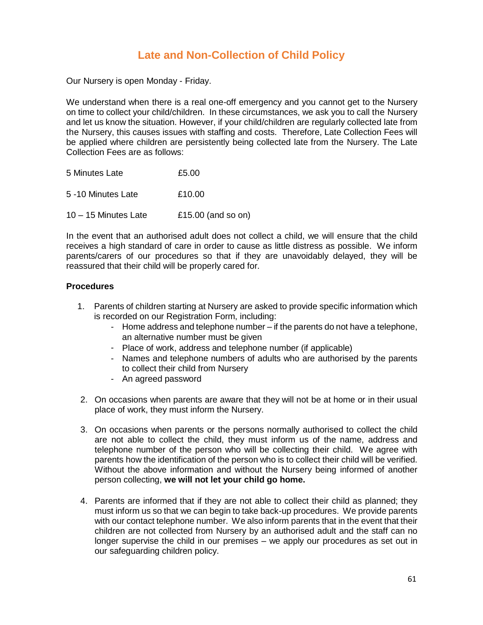## **Late and Non-Collection of Child Policy**

Our Nursery is open Monday - Friday.

We understand when there is a real one-off emergency and you cannot get to the Nursery on time to collect your child/children. In these circumstances, we ask you to call the Nursery and let us know the situation. However, if your child/children are regularly collected late from the Nursery, this causes issues with staffing and costs. Therefore, Late Collection Fees will be applied where children are persistently being collected late from the Nursery. The Late Collection Fees are as follows:

| 5 Minutes Late         | £5.00              |
|------------------------|--------------------|
| 5 -10 Minutes Late     | £10.00             |
| $10 - 15$ Minutes Late | £15.00 (and so on) |

In the event that an authorised adult does not collect a child, we will ensure that the child receives a high standard of care in order to cause as little distress as possible. We inform parents/carers of our procedures so that if they are unavoidably delayed, they will be reassured that their child will be properly cared for.

## **Procedures**

- 1. Parents of children starting at Nursery are asked to provide specific information which is recorded on our Registration Form, including:
	- Home address and telephone number if the parents do not have a telephone, an alternative number must be given
	- Place of work, address and telephone number (if applicable)
	- Names and telephone numbers of adults who are authorised by the parents to collect their child from Nursery
	- An agreed password
- 2. On occasions when parents are aware that they will not be at home or in their usual place of work, they must inform the Nursery.
- 3. On occasions when parents or the persons normally authorised to collect the child are not able to collect the child, they must inform us of the name, address and telephone number of the person who will be collecting their child. We agree with parents how the identification of the person who is to collect their child will be verified. Without the above information and without the Nursery being informed of another person collecting, **we will not let your child go home.**
- 4. Parents are informed that if they are not able to collect their child as planned; they must inform us so that we can begin to take back-up procedures. We provide parents with our contact telephone number. We also inform parents that in the event that their children are not collected from Nursery by an authorised adult and the staff can no longer supervise the child in our premises – we apply our procedures as set out in our safeguarding children policy.